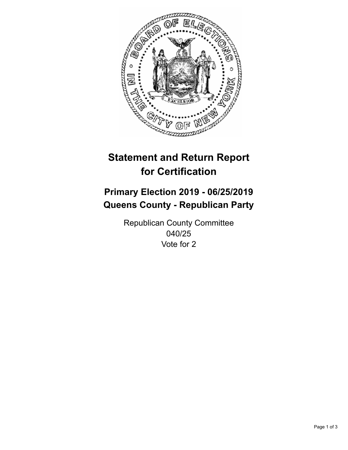

## **Statement and Return Report for Certification**

## **Primary Election 2019 - 06/25/2019 Queens County - Republican Party**

Republican County Committee 040/25 Vote for 2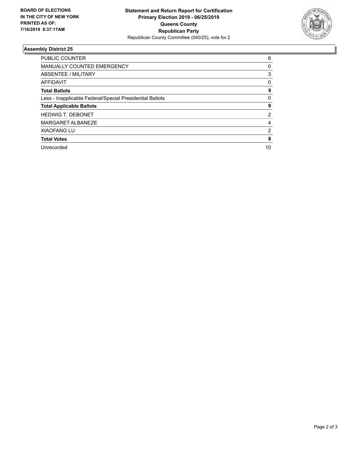

## **Assembly District 25**

| <b>PUBLIC COUNTER</b>                                    | 6              |
|----------------------------------------------------------|----------------|
| <b>MANUALLY COUNTED EMERGENCY</b>                        | 0              |
| ABSENTEE / MILITARY                                      | 3              |
| AFFIDAVIT                                                | 0              |
| <b>Total Ballots</b>                                     | 9              |
| Less - Inapplicable Federal/Special Presidential Ballots | 0              |
| <b>Total Applicable Ballots</b>                          | 9              |
| <b>HEDWIG T. DEBONET</b>                                 | 2              |
| MARGARET ALBANEZE                                        | 4              |
| <b>XIAOFANG LU</b>                                       | $\overline{2}$ |
| <b>Total Votes</b>                                       | 8              |
| Unrecorded                                               | 10             |